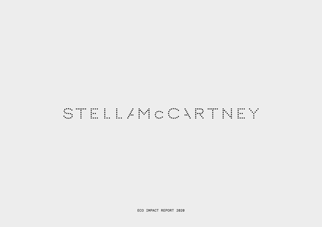## WTELLANDURNTNEY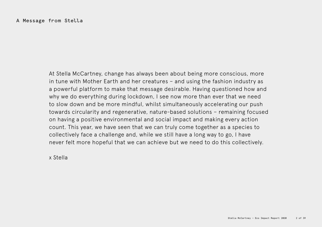At Stella McCartney, change has always been about being more conscious, more in tune with Mother Earth and her creatures – and using the fashion industry as a powerful platform to make that message desirable. Having questioned how and why we do everything during lockdown, I see now more than ever that we need to slow down and be more mindful, whilst simultaneously accelerating our push towards circularity and regenerative, nature-based solutions – remaining focused on having a positive environmental and social impact and making every action count. This year, we have seen that we can truly come together as a species to collectively face a challenge and, while we still have a long way to go, I have never felt more hopeful that we can achieve but we need to do this collectively.

x Stella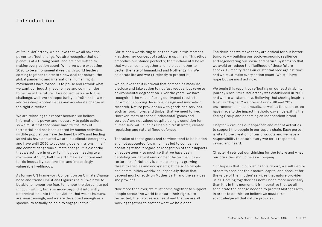#### Introduction

At Stella McCartney, we believe that we all have the power to affect change. We also recognise that our planet is at a turning point, and are committed to making every action count. While we were expecting 2020 to be a monumental year, with world leaders coming together to create a new deal for nature, the global pandemic and international human rights movements have forced us to pause and rethink what we want our industry, economies and communities to be like in the future. If we collectively rise to the challenge, we have an opportunity to (re)think how we address deep-rooted issues and accelerate change in the right direction.

We are releasing this report because we believe information is power and necessary to guide action, so we must first face some hard truths: 75% of terrestrial land has been altered by human activities, wildlife populations have declined by 60% and leading scientists have declared we are in a climate emergency and have until 2030 to cut our global emissions in half and combat dangerous climate change. It is essential that we act now in order to limit global heating to a maximum of 1.5°C, halt the sixth mass extinction and tackle inequality, factionalism and increasingly vulnerable livelihoods.

As former UN Framework Convention on Climate Change head and friend Christiana Figueres said, "We have to be able to honour the fear, to honour the despair, to get in touch with it, but also move beyond it into gritty determination, into the conviction that we, as humans, are smart enough, and we are developed enough as a species, to actually be able to engage in this."

Christiana's words ring truer than ever in this moment – as does her concept of stubborn optimism. This ethos embodies our stance perfectly; the fundamental belief that we can come together and help each other to better the fate of humankind and Mother Earth. We celebrate life and work tirelessly to protect it.

We believe that it is crucial that companies measure, disclose and take action to not just reduce, but reverse environmental degradation. Over the years, we have recognised the value of using our impact results to inform our sourcing decisions, design and innovation research. Nature provides us with goods and services such as food, fibres and timber that we need to live. However, many of these fundamental 'goods and services' are not valued despite being a condition for human survival – such as clean air, fresh water, climate regulation and natural flood defences.

The value of these goods and services tend to be hidden and not accounted for, which has led to companies operating without regard or recognition of their impacts on ecosystems – so much so that we have been depleting our natural environment faster than it can restore itself. Not only is climate change a growing threat to species and ecosystems, but also to people and communities worldwide, especially those that depend most directly on Mother Earth and the services she provides.

Now more than ever, we must come together to support people across the world to ensure their rights are respected, their voices are heard and that we are all working together to protect what we hold dear.

The decisions we make today are critical for our better tomorrow – building our socio-economic resilience and regenerating our social and natural systems so that we avoid or reduce the likelihood of these future shocks. Humanity faces an existential race against time and we must make every action count. We still have hope but we must act now.

We begin this report by reflecting on our sustainability journey since Stella McCartney was established in 2001, and where we stand now. Believing that sharing inspires trust, in Chapter 2 we present our 2018 and 2019 environmental impact results, as well as the updates we have made to the impact methodology since exiting the Kering Group and becoming an independent brand.

Chapter 3 outlines our approach and recent activities to support the people in our supply chain. Each person is vital to the creation of our products and we have a responsibility to ensure every worker is respected, valued and heard.

Chapter 4 sets out our thinking for the future and what our priorities should be as a company.

Our hope is that in publishing this report, we will inspire others to consider their natural capital and account for the value of the 'hidden' services that nature provides us all. Coming together has never been more necessary than it is in this moment. It is imperative that we all accelerate the change needed to protect Mother Earth. In order to do this, we believe we must first acknowledge all that nature provides.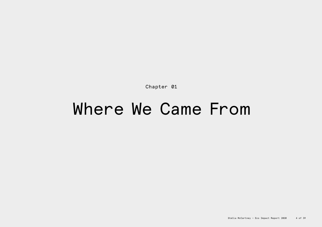Chapter 01

## Where We Came From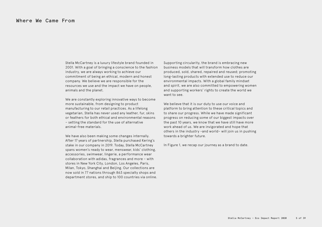Stella McCartney is a luxury lifestyle brand founded in 2001. With a goal of bringing a conscience to the fashion industry, we are always working to achieve our commitment of being an ethical, modern and honest company. We believe we are responsible for the resources we use and the impact we have on people, animals and the planet.

We are constantly exploring innovative ways to become more sustainable, from designing to product manufacturing to our retail practices. As a lifelong vegetarian, Stella has never used any leather, fur, skins or feathers for both ethical and environmental reasons – setting the standard for the use of alternative animal-free materials.

We have also been making some changes internally. After 17 years of partnership, Stella purchased Kering's stake in our company in 2019. Today, Stella McCartney spans women's ready to wear, menswear, kids' clothing, accessories, swimwear, lingerie, a performance wear collaboration with adidas, fragrances and more – with stores in New York City, London, Los Angeles, Paris, Milan, Tokyo, Shanghai and Beijing. Our collections are now sold in 77 nations through 863 specialty shops and department stores, and ship to 100 countries via online. Supporting circularity, the brand is embracing new business models that will transform how clothes are produced, sold, shared, repaired and reused; promoting long-lasting products with extended use to reduce our environmental impacts. With a global family mindset and spirit, we are also committed to empowering women and supporting workers' rights to create the world we want to see.

We believe that it is our duty to use our voice and platform to bring attention to these critical topics and to share our progress. While we have made significant progress on reducing some of our biggest impacts over the past 10 years, we know that we have still have more work ahead of us. We are invigorated and hope that others in the industry –and world– will join us in pushing towards a brighter future.

In Figure 1, we recap our journey as a brand to date.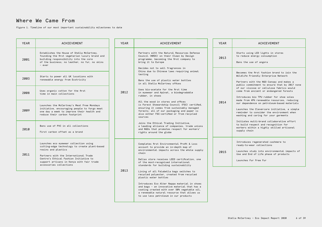### Where We Came From

Figure 1. Timeline of our most important sustainability milestones to date

| <b>YEAR</b> | ACHIEVEMENT                                                                                                                                                                                                                                                              | <b>YEAR</b> | <b>ACHIEVEMENT</b>                                                                                                                                                                                                                                                                                                                                                                                                                                                                                                                                                                                                                                                                   | <b>YEAR</b>                                                                                                                                                                                                                                                                      | <b>ACHIEVEMENT</b>                                                                                                                                                                                                                                                                                                                                                  |                                                                                                                                                                                   |                                                                                                                                                 |
|-------------|--------------------------------------------------------------------------------------------------------------------------------------------------------------------------------------------------------------------------------------------------------------------------|-------------|--------------------------------------------------------------------------------------------------------------------------------------------------------------------------------------------------------------------------------------------------------------------------------------------------------------------------------------------------------------------------------------------------------------------------------------------------------------------------------------------------------------------------------------------------------------------------------------------------------------------------------------------------------------------------------------|----------------------------------------------------------------------------------------------------------------------------------------------------------------------------------------------------------------------------------------------------------------------------------|---------------------------------------------------------------------------------------------------------------------------------------------------------------------------------------------------------------------------------------------------------------------------------------------------------------------------------------------------------------------|-----------------------------------------------------------------------------------------------------------------------------------------------------------------------------------|-------------------------------------------------------------------------------------------------------------------------------------------------|
| 2001        | Establishes the House of Stella McCartney,<br>founding the first vegetarian luxury brand and<br>building responsibility into the core<br>of the business; no leather, no fur, no skins<br>- ever                                                                         | 2012        | Partners with the Natural Resources Defense<br>Council (NRDC) on their Clean by Design<br>programme, becoming the first company to<br>bring it to Europe<br>Decides not to sell fragrances in<br>China due to Chinese laws requiring animal<br>testing<br>Bans the use of plastic water bottles<br>in all Stella McCartney offices<br>Uses bio-acetate for the first time<br>in eyewear and Apinat, a biodegradable<br>rubber, in shoes<br>All the wood in stores and offices<br>is Forest Stewardship Council (FSC) certified,<br>ensuring it comes from sustainably managed<br>forests; all of our packaging and paper is<br>also either FSC-certified or from recycled<br>sources | 2013                                                                                                                                                                                                                                                                             | Starts using LED lights in stores<br>to reduce energy consumption<br>Bans the use of angora                                                                                                                                                                                                                                                                         |                                                                                                                                                                                   |                                                                                                                                                 |
| 2003        | Starts to power all UK locations with<br>renewable energy from Ecotricity                                                                                                                                                                                                |             |                                                                                                                                                                                                                                                                                                                                                                                                                                                                                                                                                                                                                                                                                      |                                                                                                                                                                                                                                                                                  | Becomes the first fashion brand to join the<br>Wildlife Friendly Enterprise Network<br>Partners with the NGO Canopy and makes a<br>public commitment to ensure that by 2017 none                                                                                                                                                                                    |                                                                                                                                                                                   |                                                                                                                                                 |
| 2008        | Uses organic cotton for the first<br>time in main collections                                                                                                                                                                                                            |             |                                                                                                                                                                                                                                                                                                                                                                                                                                                                                                                                                                                                                                                                                      | 2014                                                                                                                                                                                                                                                                             | of our viscose or cellulose fabrics would<br>come from ancient or endangered forests<br>Introduces bio TPU rubber for shoe soles<br>made from 49% renewable resources, reducing<br>our dependence on petroleum-based materials<br>Launches the Clevercare initiative, a simple<br>reminder to consider the environment when<br>washing and caring for your garments |                                                                                                                                                                                   |                                                                                                                                                 |
| 2009        | Launches the McCartney's Meat Free Mondays<br>initiative, encouraging people to forgo meat<br>one day a week to improve their health and<br>reduce their carbon footprint                                                                                                |             |                                                                                                                                                                                                                                                                                                                                                                                                                                                                                                                                                                                                                                                                                      |                                                                                                                                                                                                                                                                                  |                                                                                                                                                                                                                                                                                                                                                                     |                                                                                                                                                                                   |                                                                                                                                                 |
| 2010        | Bans use of PVC in all collections<br>First carbon offset as a brand                                                                                                                                                                                                     |             |                                                                                                                                                                                                                                                                                                                                                                                                                                                                                                                                                                                                                                                                                      |                                                                                                                                                                                                                                                                                  | Joins the Ethical Trading Initiative,<br>a leading alliance of companies, trade unions<br>and NGOs that promotes respect for workers'<br>rights around the globe                                                                                                                                                                                                    |                                                                                                                                                                                   | Initiates multi-brand collaborative effort<br>to build respect and recognition for<br>workers within a highly skilled artisanal<br>supply chain |
| 2011        | Launches eco eyewear collection using<br>cutting-edge technology to create plant-based<br>resins and plastics<br>Partners with the International Trade<br>Centre's Ethical Fashion Initiative to<br>support artisans in Kenya with fair trade<br>accessories collections |             |                                                                                                                                                                                                                                                                                                                                                                                                                                                                                                                                                                                                                                                                                      | Completes first Environmental Profit & Loss<br>account to provide an in-depth map of<br>environmental impacts across the whole supply<br>chain<br>Dallas store receives LEED certification, one<br>of the most-recognised international<br>standards for building sustainability | 2015                                                                                                                                                                                                                                                                                                                                                                | Introduces regenerated cashmere to<br>ready-to-wear collections<br>Launches study into environmental impacts of<br>Use and End of Life phase of products<br>Launches Fur Free Fur |                                                                                                                                                 |
|             |                                                                                                                                                                                                                                                                          | 2013        | Lining of all Falabella bags switches to<br>recycled polyester, created from recycled<br>plastic water bottles<br>Introduces Eco Alter Nappa material in shoes<br>and bags - an innovative material that has a<br>coating created with over 50% vegetable oil,<br>a renewable natural resource that allows us<br>to use less petroleum in our products                                                                                                                                                                                                                                                                                                                               |                                                                                                                                                                                                                                                                                  |                                                                                                                                                                                                                                                                                                                                                                     |                                                                                                                                                                                   |                                                                                                                                                 |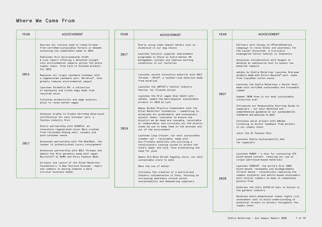#### Where We Came From

| <b>YEAR</b>                                                                                                                                                                                                                                                                                            | <b>ACHIEVEMENT</b>                                                                                                                                                                                                                                                                                                                                                        | YEAR                                                                                                                                                                                                                                                                                               | <b>ACHIEVEMENT</b>                                                                                                                                                                                                                                                                                                                                                                                                                                                                                                                        | <b>YEAR</b>                                                                                                                                                                                                                                                                                                                                                                                                                     | <b>ACHIEVEMENT</b>                                                                                                                                                                                                                                                                                                                                        |
|--------------------------------------------------------------------------------------------------------------------------------------------------------------------------------------------------------------------------------------------------------------------------------------------------------|---------------------------------------------------------------------------------------------------------------------------------------------------------------------------------------------------------------------------------------------------------------------------------------------------------------------------------------------------------------------------|----------------------------------------------------------------------------------------------------------------------------------------------------------------------------------------------------------------------------------------------------------------------------------------------------|-------------------------------------------------------------------------------------------------------------------------------------------------------------------------------------------------------------------------------------------------------------------------------------------------------------------------------------------------------------------------------------------------------------------------------------------------------------------------------------------------------------------------------------------|---------------------------------------------------------------------------------------------------------------------------------------------------------------------------------------------------------------------------------------------------------------------------------------------------------------------------------------------------------------------------------------------------------------------------------|-----------------------------------------------------------------------------------------------------------------------------------------------------------------------------------------------------------------------------------------------------------------------------------------------------------------------------------------------------------|
|                                                                                                                                                                                                                                                                                                        | Sources all viscose used in ready-to-wear<br>from certified-sustainable forests in Sweden,<br>achieving the commitment made in 2014<br>Publishes first Environmental Profit<br>& Loss report offering a detailed insight<br>into environmental impacts across the whole<br>supply chain, from farm to finished product,<br>for 2015                                       | 2017                                                                                                                                                                                                                                                                                               | Starts using lower-impact metals such as<br>aluminium in our bag chains<br>Launches holistic supplier improvement<br>programme in China to build better HR<br>management systems and improve working<br>conditions in our factories                                                                                                                                                                                                                                                                                                       |                                                                                                                                                                                                                                                                                                                                                                                                                                 | Partners with Canopy on #ThereSheGrows<br>campaign to raise money and awareness for<br>the Leuser Ecosystem, a critically<br>endangered forest habitat in Indonesia<br>Announces collaboration with Google to<br>develop an opensource tool to assess raw<br>material impacts                                                                             |
| 2016                                                                                                                                                                                                                                                                                                   | Replaces all virgin cashmere knitwear with<br>a regenerated cashmere yarn, Re.Verso™, that<br>greatly reduces environmental impact<br>Launches Falabella GO, a collection<br>of backpacks and travel bags made from<br>recycled nylon<br>Initiates productivity and wage analysis<br>pilot to raise worker wages                                                          |                                                                                                                                                                                                                                                                                                    | Launches second innovative material with BOLT<br>Threads - MYLO™, a leather-like material made<br>from mycelium<br>Launches the UNFCCC's Fashion Industry<br>Charter for Climate Action<br>Launches the first vegan Stan Smith with<br>adidas, named the most-popular sustainable<br>product in 2018 by Lyst<br>Makes Global Plastics Commitment with the                                                                                                                                                                                 | 2019                                                                                                                                                                                                                                                                                                                                                                                                                            | adidas by Stella McCartney launches first-ever<br>products made with Evrnu's Nucycle™ yarn, made<br>from liquefied cotton waste<br>Launches the Stella McCartney x Hunter boot,<br>made with certified sustainable and traceable<br>rubber<br>Summer 2020 show is our most sustainable<br>collection ever<br>Introduces our Responsible Sourcing Guide to |
| 2017                                                                                                                                                                                                                                                                                                   | Achieves Cradle to Cradle Certified Gold-level<br>certification for wool knitwear yarn, a<br>fashion industry first<br>Starts partnership with ECONYL®, an<br>innovative regenerated nylon fibre created<br>from reclaimed fishing nets, carpets and<br>post-consumer waste<br>Announces partnership with The RealReal, the<br>leader in authenticated luxury consignment | 2018                                                                                                                                                                                                                                                                                               | Ellen MacArthur Foundation - committing to<br>eliminate all problematic and unnecessary<br>plastic items; innovates to ensure the<br>plastics we do need are reusable, recyclable<br>or compostable; and circulate all the plastic<br>items we use to keep them in the economy and<br>out of the environment<br>Launches Loop trainer, our most sustainable<br>sneaker yet - recyclable, made with<br>eco-friendly materials and utilising a<br>revolutionary locking system to attach the<br>shoe's upper and sole, thus eliminating the |                                                                                                                                                                                                                                                                                                                                                                                                                                 | suppliers - our most detailed and<br>comprehensive guidance on our sustainability<br>standards and policies to date<br>Initiates pilot project with &Wider,<br>listening to direct feedback from workers<br>in our supply chain<br>Joins the G7 Fashion Pact<br>Launches Stella Sustainability Hub<br>for suppliers                                       |
| Announces partnership with BOLT Threads and<br>debuts the first garments made with vegan<br>Microsilk™ at MoMA and Paris Fashion Week<br>Co-hosts the launch of the Ellen MacArthur<br>Foundation's 'A New Textiles Economy' report<br>and commits to moving towards a more<br>circular business model |                                                                                                                                                                                                                                                                                                                                                                           | need for glue<br>Opens Old Bond Street flagship store, our most<br>sustainable store to date<br>Bans the use of mohair<br>Initiates the creation of a multi-brand<br>industry collaboration in Italy, focusing on<br>increasing awareness around social<br>sustainability and empowering suppliers | 2020                                                                                                                                                                                                                                                                                                                                                                                                                                                                                                                                      | Launches KOBA® - a faux fur containing 37%<br>plant-based content, reducing our use of<br>virgin petroleum-based materials<br>Launches COREVA™, the world's first 100%<br>plant-based, renewable and biodegradable<br>stretch denim - innovatively replacing the<br>common synthetic and petrol-based elastomers<br>with natural rubbers to make it completely<br>plastic-free<br>Endorses the ILO's COVID-19 Call to Action in |                                                                                                                                                                                                                                                                                                                                                           |
|                                                                                                                                                                                                                                                                                                        |                                                                                                                                                                                                                                                                                                                                                                           |                                                                                                                                                                                                                                                                                                    |                                                                                                                                                                                                                                                                                                                                                                                                                                                                                                                                           |                                                                                                                                                                                                                                                                                                                                                                                                                                 | the garment industry<br>Develops multi-dimensional human rights risk<br>assessment tool to build understanding of<br>potential threats to workers throughout the                                                                                                                                                                                          |

supply chain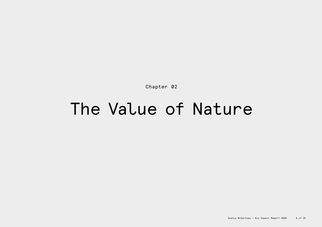Chapter 02

## The Value of Nature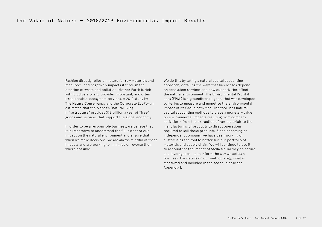Fashion directly relies on nature for raw materials and resources, and negatively impacts it through the creation of waste and pollution. Mother Earth is rich with biodiversity and provides important, and often irreplaceable, ecosystem services. A 2012 study by The Nature Conservancy and the Corporate EcoForum estimated that the planet's "natural living infrastructure" provides \$72 trillion a year of "free" goods and services that support the global economy.

In order to be a responsible business, we believe that it is imperative to understand the full extent of our impact on the natural environment and ensure that when we make decisions, we are always mindful of these impacts and are working to minimise or reverse them where possible.

We do this by taking a natural capital accounting approach, detailing the ways that businesses depend on ecosystem services and how our activities affect the natural environment. The Environmental Profit & Loss (EP&L) is a groundbreaking tool that was developed by Kering to measure and monetise the environmental impact of its Group activities. The tool uses natural capital accounting methods to place a monetary value on environmental impacts resulting from company activities – from the extraction of raw materials to the manufacturing of products to direct operations required to sell those products. Since becoming an independent company, we have been working on customising the tool to better suit our portfolio of materials and supply chain. We will continue to use it to account for the impact of Stella McCartney on nature and leverage results to inform the way we act as a business. For details on our methodology, what is measured and included in the scope, please see Appendix I.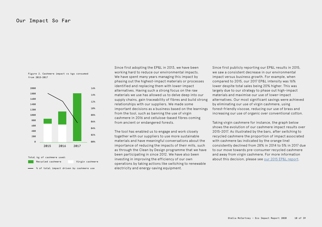#### Our Impact So Far

Figure 2. Cashmere impact vs kgs consumed from 2015-2017





Since first adopting the EP&L in 2013, we have been working hard to reduce our environmental impacts. We have spent many years managing this impact by phasing out the highest-impact materials or processes identified and replacing them with lower-impact alternatives. Having such a strong focus on the raw materials we use has allowed us to delve deep into our supply chains, gain traceability of fibres and build strong relationships with our suppliers. We made some important decisions as a business based on the learnings from the tool, such as banning the use of virgin cashmere in 2016 and cellulose-based fibres coming from ancient or endangered forests.

The tool has enabled us to engage and work closely together with our suppliers to use more sustainable materials and have meaningful conversations about the importance of reducing the impacts of their mills, such as through the Clean by Design programme that we have been participating in since 2012. We have also been investing in improving the efficiency of our own operations by taking actions like switching to renewable electricity and energy-saving equipment. Total kg of cashmere used:<br>
Recycled cashmere **about this decision, please see** <u>our 2015 EP&L report</u>.<br>
Recycled cashmere virgin cashmere investing in improving the efficiency of our own about this decision, please see <u>o</u>

Since first publicly reporting our EP&L results in 2015, we saw a consistent decrease in our environmental impact versus business growth. For example, when compared to 2015, our 2017 EP&L intensity was 16% lower despite total sales being 20% higher. This was largely due to our strategy to phase out high-impact materials and maximise our use of lower-impact alternatives. Our most significant savings were achieved by eliminating our use of virgin cashmere, using forest-friendly viscose, reducing our use of brass and increasing our use of organic over conventional cotton.

Taking virgin cashmere for instance, the graph below shows the evolution of our cashmere impact results over 2015-2017. As illustrated by the bars, after switching to recycled cashmere the proportion of impact associated with cashmere (as indicated by the orange line) consistently declined from 28% in 2014 to 5% in 2017 due to our move towards pre-consumer recycled cashmere and away from virgin cashmere. For more information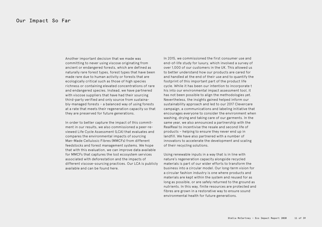Another important decision that we made was committing to never using viscose originating from ancient or endangered forests, which are defined as naturally rare forest types, forest types that have been made rare due to human activity or forests that are ecologically critical such as those of high species richness or containing elevated concentrations of rare and endangered species. Instead, we have partnered with viscose suppliers that have had their sourcing third-party verified and only source from sustainably-managed forests – a balanced way of using forests at a rate that meets their regeneration capacity so that they are preserved for future generations.

In order to better capture the impact of this commitment in our results, we also commissioned a peer-reviewed Life Cycle Assessment (LCA) that evaluates and compares the environmental impacts of sourcing Man-Made Cellulosic Fibres (MMCFs) from different feedstocks and forest management systems. We hope that with this evaluation, we can improve data available for MMCFs that captures the lost ecosystem services associated with deforestation and the impacts of different viscose-sourcing practices. Our LCA is publicly available and can be found [here.](https://cdn.scsglobalservices.com/files/resources/SCS-Stella-LCA-MainReport-101017.pdf)

In 2015, we commissioned the first consumer use and end-of-life study for luxury, which involved a survey of over 1,000 of our customers in the UK. This allowed us to better understand how our products are cared for and handled at the end of their use and to quantify the footprint of this important part of the product life cycle. While it has been our intention to incorporate t his into our environmental impact assessment tool, it has not been possible to align the methodologies yet. Nevertheless, the insights gained helped inform our sustainability approach and led to our 2017 Clevercare campaign, a communications and labeling initiative that encourages everyone to consider the environment when washing, drying and taking care of our garments. In the same year, we also announced a partnership with the RealReal to incentivise the resale and second life of products – helping to ensure they never end up in landfill. We have also partnered with a number of innovators to accelerate the development and scaling of their recycling solutions.

Using renewable inputs in a way that is in line with nature's regeneration capacity alongside recycled materials is part of our wider efforts to transform the business into a circular model. Our long-term vision for a circular fashion industry is one where products and materials are kept within the system and reused for as long as possible, or are safely returned to the ground as nutrients. In this way, finite resources are protected and fibres are grown in a restorative way to ensure sound environmental health for future generations.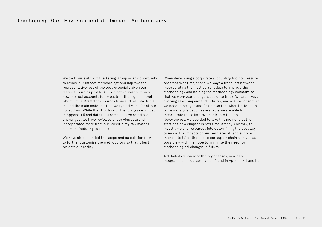#### Developing Our Environmental Impact Methodology

We took our exit from the Kering Group as an opportunity to review our impact methodology and improve the representativeness of the tool, especially given our distinct sourcing profile. Our objective was to improve how the tool accounts for impacts at the regional level where Stella McCartney sources from and manufactures in, and the main materials that we typically use for all our collections. While the structure of the tool (as described in Appendix I) and data requirements have remained unchanged, we have reviewed underlying data and incorporated more from our specific key raw material and manufacturing suppliers.

We have also amended the scope and calculation flow to further customise the methodology so that it best reflects our reality.

When developing a corporate accounting tool to measure progress over time, there is always a trade-off between incorporating the most current data to improve the methodology and holding the methodology constant so that year-on-year change is easier to track. We are always evolving as a company and industry, and acknowledge that we need to be agile and flexible so that when better data or new analysis becomes available we are able to incorporate these improvements into the tool. Nevertheless, we decided to take this moment, at the start of a new chapter in Stella McCartney's history, to invest time and resources into determining the best way to model the impacts of our key materials and suppliers in order to tailor the tool to our supply chain as much as possible – with the hope to minimise the need for methodological changes in future.

A detailed overview of the key changes, new data integrated and sources can be found in Appendix II and III.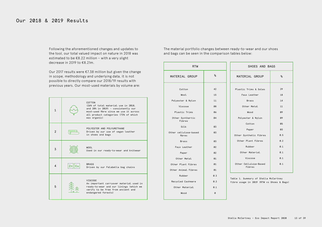Following the aforementioned changes and updates to the tool, our total valued impact on nature in 2018 was estimated to be €8.22 million – with a very slight decrease in 2019 to €8.21m.

Our 2017 results were €7.38 million but given the change in scope, methodology and underlying data, it is not possible to directly compare our 2018/19 results with previous years. Our most-used materials by volume are:

| 1              |           | COTTON<br>(26% of total material use in 2018,<br>and 28% in 2019) - consistently our<br>most-used fibre since we use it across<br>all product categories (73% of which<br>was organic) |
|----------------|-----------|----------------------------------------------------------------------------------------------------------------------------------------------------------------------------------------|
| $\mathfrak{p}$ |           | POLYESTER AND POLYURETHANE<br>Driven by our use of vegan leather<br>in shoes and bags                                                                                                  |
| 3              |           | <b>WOOL</b><br>Used in our ready-to-wear and knitwear                                                                                                                                  |
| 4              | Znl<br>Cu | <b>BRASS</b><br>Driven by our Falabella bag chains                                                                                                                                     |
| 5              |           | VISCOSE<br>An important carryover material used in<br>ready-to-wear and our linings (which we<br>verify to be free from ancient and<br>endangered forests)                             |

The material portfolio changes between ready-to-wear and our shoes and bags can be seen in the comparison tables below:

| <b>RTW</b>                      |                | SHOES AND BAGS                                                                    |           |  |
|---------------------------------|----------------|-----------------------------------------------------------------------------------|-----------|--|
| MATERIAL GROUP                  | %              | MATERIAL GROUP                                                                    | %         |  |
| Cotton                          | 42             | Plastic Trims & Soles                                                             | 29        |  |
| Wool.                           | 15             | Faux Leather                                                                      | 18        |  |
| Polyester & Nylon               | 11             | <b>Brass</b>                                                                      | 14        |  |
| Viscose                         | 08             | Other Metal                                                                       | 11        |  |
| Plastic Trims                   | 06             | Wood                                                                              | 09        |  |
| Other Synthertic<br>Fibres      | 04             | Polyester & Nylon                                                                 | 09        |  |
| Silk                            | 03             | Cotton                                                                            | 05        |  |
| Other cellulose-based<br>fibres | 03             | Paper<br>Other Synthetic Fibres                                                   | 03<br>0.5 |  |
| <b>Brass</b>                    | 03             | Other Plant Fibres                                                                | 0.2       |  |
| Faux Leather                    | 0 <sub>0</sub> | Rubber                                                                            | 0.1       |  |
| Paper                           | Q <sub>2</sub> | Other Material                                                                    | 0.1       |  |
| Other Metal                     | 01             | Viscose                                                                           | 0.1       |  |
| Other Plant Fibres              | 01             | Other Cellulose-Based                                                             | 0.1       |  |
| Other Animal Fibres             | 01             | Fibres                                                                            |           |  |
| Rubber                          | 0.3            |                                                                                   |           |  |
| Recycled Cashmere               | 0.3            | Table 1. Summary of Stella McCartney<br>fibre usage in 2019 (RTW vs Shoes & Bags) |           |  |
| Other Material                  | 0.1            |                                                                                   |           |  |

0

Wood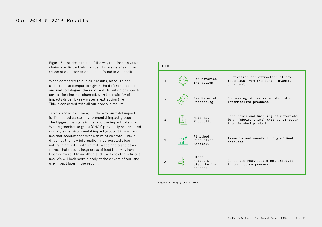Figure 3 provides a recap of the way that fashion value chains are divided into tiers, and more details on the scope of our assessment can be found in Appendix I.

When compared to our 2017 results, although not a like-for-like comparison given the different scopes and methodologies, the relative distribution of impacts across tiers has not changed, with the majority of impacts driven by raw material extraction (Tier 4). This is consistent with all our previous results.

Table 2 shows the change in the way our total impact is distributed across environmental impact groups. The biggest change is in the land use impact category. Where greenhouse gases (GHGs) previously represented our biggest environmental impact group, it is now land use that accounts for over a third of our total. This is driven by the new information incorporated about natural materials, both animal-based and plant-based fibres, that occupy large areas of land that may have been converted from other land-use types for industrial use. We will look more closely at the drivers of our land use impact later in the report.

| <b>TIER</b>                |          |                                                |                                                                                                         |
|----------------------------|----------|------------------------------------------------|---------------------------------------------------------------------------------------------------------|
| $\overline{4}$             |          | Raw Material<br>Extraction                     | Cultivation and extraction of raw<br>materials from the earth, plants,<br>or animals                    |
| $\overline{3}$             |          | Raw Material<br>Processing                     | Processing of raw materials into<br>intermediate products                                               |
| $\overline{2}$             |          | Material.<br>Production                        | Production and finishing of materials<br>(e.g. fabric, trims) that go directly<br>into finished product |
| $\mathbf{1}$               | 88<br>ᄆᄆ | Finished<br>Production<br>Assembly             | Assembly and manufacturing of final<br>products                                                         |
| $\boldsymbol{\varnothing}$ | ШH<br>ШH | Office,<br>retail &<br>distribution<br>centers | Corporate real-estate not involved<br>in production process                                             |

Figure 3. Supply chain tiers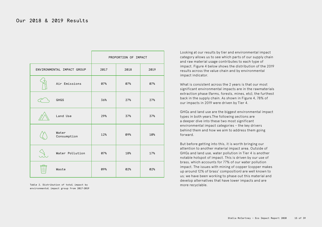|                            |      | PROPORTION OF IMPACT |      |
|----------------------------|------|----------------------|------|
| ENVIRONMENTAL IMPACT GROUP | 2017 | 2018                 | 2019 |
| Air Emissions              | 07%  | 07%                  | 07%  |
| <b>GHGS</b>                | 36%  | 27%                  | 27%  |
| Land Use                   | 29%  | 37%                  | 37%  |
| Water<br>Consumption       | 12%  | 09%                  | 10%  |
| Water Pollution            | 07%  | 18%                  | 17%  |
| Waste                      | 09%  | 02%                  | 02%  |

Table 2. Distribution of total impact by environmental impact group from 2017-2019

Looking at our results by tier and environmental impact category allows us to see which parts of our supply chain and raw material usage contributes to each type of impact. Figure 4 below shows the distribution of the 2019 results across the value chain and by environmental impact indicator.

What is consistent across the 2 years is that our most significant environmental impacts are in the rawmaterials extraction phase (farms, forests, mines, etc), the furthest back in the supply chain. As shown in Figure 4, 78% of our impacts in 2019 were driven by Tier 4.

GHGs and land use are the biggest environmental impact types in both years.The following sections are a deeper dive into these two most significant environmental impact categories – the key drivers behind them and how we aim to address them going forward.

But before getting into this, it is worth bringing our attention to another material impact area. Outside of GHGs and land use, water pollution in Tier 4 is another notable hotspot of impact. This is driven by our use of brass, which accounts for 77% of our water pollution impact. The issues with mining of copper (copper makes up around 12% of brass' composition) are well known to us; we have been working to phase out this material and develop alternatives that have lower impacts and are more recyclable.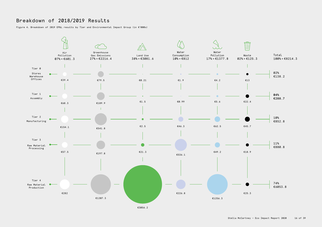## Breakdown of 2018/2019 Results

Figure 4. Breakdown of 2019 EP&L results by Tier and Environmental Impact Group (in €'000s)

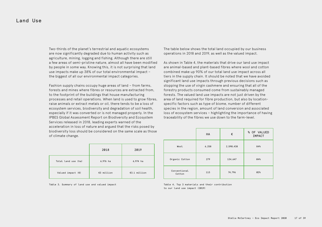Two-thirds of the planet's terrestrial and aquatic ecosystems are now significantly degraded due to human activity such as agriculture, mining, logging and fishing. Although there are still a few areas of semi-pristine nature, almost all have been modified by people in some way. Knowing this, it is not surprising that land use impacts make up 38% of our total environmental impact – the biggest of all our environmental impact categories.

Fashion supply chains occupy huge areas of land – from farms, forests and mines where fibres or resources are extracted from, to the footprint of the buildings that house manufacturing processes and retail operations. When land is used to grow fibres, raise animals or extract metals or oil, there tends to be a loss of ecosystem services, biodiversity and degradation of soil health, especially if it was converted or is not managed properly. In the IPBES Global Assessment Report on Biodiversity and Ecosystem Services released in 2018, leading experts warned of the acceleration in loss of nature and argued that the risks posed by biodiversity loss should be considered on the same scale as those of climate change.

|                            | 2018       | 2019         |
|----------------------------|------------|--------------|
| Total land use (ha)        | 6,976 ha   | 6,974 ha     |
| Valued impact $(\epsilon)$ | €3 million | €3.1 million |

Table 3. Summary of land use and valued impact

The table below shows the total land occupied by our business operations in 2018 and 2019, as well as the valued impact.

As shown in Table 4, the materials that drive our land use impact are animal-based and plant-based fibres where wool and cotton combined make up 90% of our total land use impact across all tiers in the supply chain. It should be noted that we have avoided significant land use impacts through previous decisions such as stopping the use of virgin cashmere and ensuring that all of the forestry products consumed come from sustainably managed forests. The valued land use impacts are not just driven by the area of land required for fibre production, but also by locationspecific factors such as type of biome, number of different species in the region, amount of land conversion and associated loss of ecosystem services – highlighting the importance of having traceability of the fibres we use down to the farm-level.

|                        | <b>HA</b> | €         | % OF VALUED<br><b>IMPACT</b> |
|------------------------|-----------|-----------|------------------------------|
| Wool                   | 6,258     | 2,590,438 | 84%                          |
| Organic Cotton         | 279       | 134,647   | 04%                          |
| Conventional<br>Cotton | 113       | 74,796    | 02%                          |

Table 4. Top 3 materials and their contribution to our land use impact (2019)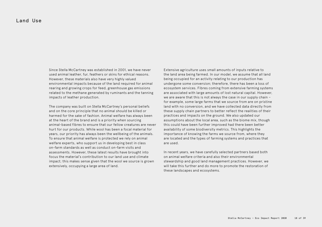Since Stella McCartney was established in 2001, we have never used animal leather, fur, feathers or skins for ethical reasons. However, these materials also have very highly valued environmental impacts because of the land required for animal rearing and growing crops for feed, greenhouse gas emissions related to the methane generated by ruminants and the tanning impacts of leather production.

The company was built on Stella McCartney's personal beliefs and on the core principle that no animal should be killed or harmed for the sake of fashion. Animal welfare has always been at the heart of the brand and is a priority when sourcing animal-based fibres to ensure that our fellow creatures are never hurt for our products. While wool has been a focal material for years, our priority has always been the wellbeing of the animals. To ensure that animal welfare is protected we rely on animal welfare experts, who support us in developing best in class on-farm standards as well as conduct on-farm visits and assessments. However, these latest results have brought into focus the material's contribution to our land use and climate impact; this makes sense given that the wool we source is grown extensively, occupying a large area of land.

Extensive agriculture uses small amounts of inputs relative to the land area being farmed. In our model, we assume that all land being occupied for an activity relating to our production has undergone some conversion; therefore, there has been a loss of ecosystem services. Fibres coming from extensive farming systems are associated with large amounts of lost natural capital. However, we are aware that this is not always the case in our supply chain – for example, some large farms that we source from are on pristine land with no conversion, and we have collected data directly from these supply chain partners to better reflect the realities of their practices and impacts on the ground. We also updated our assumptions about the local area, such as the biome mix, though this could have been further improved had there been better availability of some biodiversity metrics. This highlights the importance of knowing the farms we source from, where they are located and the types of farming systems and practices that are used.

In recent years, we have carefully selected partners based both on animal welfare criteria and also their environmental stewardship and good land management practices. However, we will take this further and do more to promote the restoration of these landscapes and ecosystems.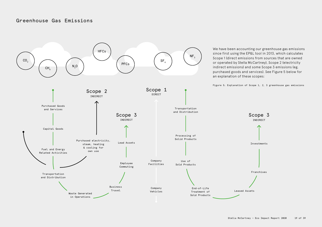#### Greenhouse Gas Emissions

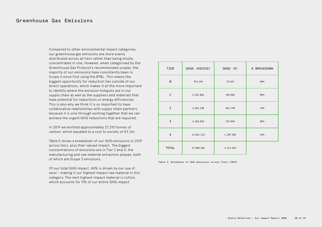#### Greenhouse Gas Emissions

Compared to other environmental impact categories, our greenhouse gas emissions are more evenly distributed across all tiers rather than being mostly concentrated in one. However, when categorised by the Greenhouse Gas Protocol's recommended scopes, the majority of our emissions have consistently been in Scope 3 since first using the EP&L. This means the biggest opportunity for reduction lies outside of our direct operations, which makes it all the more important to identify where the emission hotspots are in our supply chain as well as the suppliers and materials that have potential for reductions or energy efficiencies. This is also why we think it is so important to have collaborative relationships with supply chain partners because it is only through working together that we can achieve the urgent GHG reductions that are required.

In 2019 we emitted approximately 27,210 tonnes of carbon, which equated to a cost to society of €2.2m.

Table 5 shows a breakdown of our GHG emissions in 2019 across tiers, plus their valued impact. The biggest concentrations of emissions are in Tier 2 and 4, the manufacturing and raw material extraction phases, both of which are Scope 3 emissions.

Of our total GHG impact, 44% is driven by our use of wool – making it our highest-impact raw material in this category. The next highest-impact material is cotton, which accounts for 11% of our entire GHG impact.

| TIER           | GHGS (KGCO2E) | $GHGS$ ( $\varepsilon$ ) | % BREAKDOWN |
|----------------|---------------|--------------------------|-------------|
| 0              | 976,249       | 79,523                   | 04%         |
| $\mathbf{1}$   | 2,331,042     | 189,882                  | 09%         |
| $\overline{2}$ | 6,651,238     | 541,798                  | 24%         |
| $\overline{3}$ | 2,428,835     | 197,849                  | 09%         |
| $\overline{4}$ | 14,821,122    | 1,207,302                | 54%         |
| <b>TOTAL</b>   | 27,208,486    | 2,216,354                |             |

Table 5. Breakdown of GHG emissions across Tiers (2019)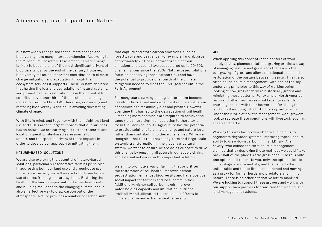It is now widely recognised that climate change and biodiversity have many interdependencies. According to the Millennium Ecosystem Assessment, climate change is likely to become one of the most significant drivers of biodiversity loss by the end of the century. However, biodiversity makes an important contribution to climate change mitigation and adaptation through the ecosystem services it supports. The IUCN have declared that halting the loss and degradation of natural systems, and promoting their restoration, have the potential to contribute over one-third of the total climate change mitigation required by 2030. Therefore, conserving and restoring biodiversity is critical in avoiding devastating climate change.

With this in mind, and together with the insight that land use and GHGs are the largest impacts that our business has on nature, we are carrying out further research and location-specific, site-based assessments to understand the specific drivers of these impacts in order to develop our approach to mitigating them.

#### NATURE-BASED SOLUTIONS

We are also exploring the potential of nature-based solutions, particularly regenerative farming principles, in addressing both our land use and greenhouse gas impacts – especially since they are both driven by our use of fibres from agricultural systems. Restoring the health of the land is important for farmer livelihoods and building resilience to the changing climate, and is also an effective way to draw carbon out of the atmosphere. Nature provides a number of carbon sinks

that capture and store carbon emissions, such as forests, soils and peatlands. For example, land absorbs approximately 29% of all anthropogenic carbon emissions and oceans have sequestered up to 20-30% of all emissions since the 1980s. Nature-based solutions focus on conserving these carbon sinks and have the potential to provide one fourth of the climate mitigation needed to meet the 1.5°C goal set out in the Paris Agreement.

For many years, farming and agriculture have become heavily industrialised and dependent on the application of chemicals to maximise yields and profits. However, over time this has led to the degradation of soil health – meaning more chemicals are required to achieve the same yields, resulting in an addiction to these toxic, fossil fuel-derived inputs. Agriculture has the potential to provide solutions to climate change and nature loss, rather than contributing to these challenges. While we recognise that this requires a long-term and large-scale systemic transformation in the global agricultural system, we want to ensure we are doing our part to drive this change by engaging all actors in our supply chains and external networks on this important solution.

We aim to promote a way of farming that prioritises the restoration of soil health, improves carbon sequestration, enhances biodiversity and has a positive social impact for farmers and local communities. Additionally, higher soil carbon levels improve water-holding capacity and infiltration, nutrient availability and ultimately the resilience of farms to climate change and extreme weather events.

#### WOOL

When applying this concept in the context of wool supply chains, planned rotational grazing provides a way of managing pasture and grasslands that avoids the overgrazing of grass and allows for adequate rest and restoration of the pasture between grazings. This is also often called holistic management, with one of the key underlying principles to this way of working being looking at how grasslands were historically grazed and mimicking these patterns. For example, North American bison and other herbivores would roam grasslands, churning the soil with their hooves and fertilizing the land with their dung, which stimulates plant growth. Under the rubric of holistic management, wool growers look to recreate these conditions with livestock, such as sheep and cattle.

Working this way has proven effective in helping to regenerate degraded systems, improving topsoil and its ability to draw down carbon. In his TED Talk, Allan Savory, who coined the term holistic management, claimed that by deploying these methods we could "take back" half of the planet's arid grasslands: "There is only one option —I'll repeat to you, only one option— left to climatologists and scientists, and that is to do the unthinkable and to use livestock, bunched and moving, as a proxy for former herds and predators and mimic nature. There is no other alternative left to mankind." We are looking to support these growers and work with our supply chain partners to transition to these holistic land management systems.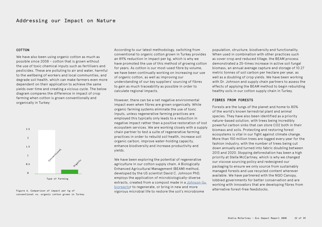#### COTTON

We have also been using organic cotton as much as possible since 2008 – cotton that is grown without the use of toxic chemical inputs such as fertilisers and pesticides. These are polluting to air and water, harmful to the wellbeing of workers and local communities, and degrade soil health, which can make farmers even more dependent on their application to achieve the same yields over time and creating a vicious cycle. The below diagram compares the difference in impact of crop farming when cotton is grown conventionally and organically in Turkey:



Figure 6. Comparison of impact per kg of conventional vs. organic cotton grown in Turkey

According to our latest methodology, switching from conventional to organic cotton grown in Turkey provides an 89% reduction in impact per kg, which is why we have promoted the use of this method of growing cotton for years. As cotton is our most-used fibre by volume, we have been continually working on increasing our use of organic cotton, as well as improving our understanding of our key suppliers' sourcing of fibres to gain as much traceability as possible in order to calculate regional impacts.

However, there can be a net negative environmental impact even when fibres are grown organically. While organic farming systems eliminate the use of toxic inputs, unless regenerative farming practices are employed this typically only leads to a reduction in negative impact rather than a positive restoration of lost ecosystem services. We are working closely with a supply chain partner to test a suite of regenerative farming practices in order to rebuild soil health, increase soil organic carbon, improve water-holding capacity, enhance biodiversity and increase productivity and yields.

We have been exploring the potential of regenerative agriculture in our cotton supply chain. A Biologically Enhanced Agricultural Management (BEAM) method, developed by the US scientist David C. Johnson PhD, employs the application of microbiologically-diverse extracts, created from a compost made in a [Johnson-Su](https://www.csuchico.edu/regenerativeagriculture/bioreactor/index.shtml)  [bioreactor](https://www.csuchico.edu/regenerativeagriculture/bioreactor/index.shtml) to regenerate, or bring in new and more vigorous microbial life to restore the soil's microbiome

population, structure, biodiversity and functionality. When used in combination with other practices such as cover crop and reduced tillage, the BEAM process demonstrated a 25-times increase in active soil fungal biomass, an annual average capture and storage of 10.27 metric tonnes of soil carbon per hectare per year, as well as a doubling of crop yields. We have been working with Dr. Johnson and supply chain partners to assess the effects of applying the BEAM method to begin rebuilding healthy soils in our cotton supply chain in Turkey.

#### FIBRES FROM FORESTS

Forests are the lungs of the planet and home to 80% of the world's known terrestrial plant and animal species. They have also been identified as a priority nature-based solution, with trees being incredibly powerful carbon sinks that can store CO2 both in their biomass and soils. Protecting and restoring forest ecosystems is vital in our fight against climate change. More than 150 million trees are logged every year for the fashion industry, with the number of trees being cut down annually and turned into fabric doubling between 2013 and 2020. Stopping deforestation has been a high priority at Stella McCartney, which is why we changed our viscose sourcing policy and redesigned our packaging to ensure we only source from sustainably managed forests and use recycled content wherever available. We have partnered with the NGO Canopy, lobbied governments for better conservation and are working with innovators that are developing fibres from alternative forest-free feedstocks.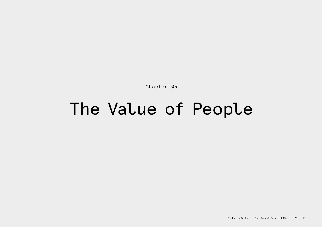Chapter 03

## The Value of People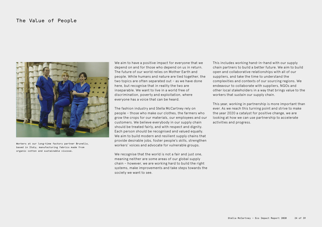#### The Value of People



Workers at our long-time factory partner Brunello, based in Italy, manufacturing fabrics made from organic cotton and sustainable viscose.

We aim to have a positive impact for everyone that we depend on and for those who depend on us in return. The future of our world relies on Mother Earth and people. While humans and nature are tied together, the two topics are often separated out – as we have done here, but recognise that in reality the two are inseparable. We want to live in a world free of discrimination, poverty and exploitation, where everyone has a voice that can be heard.

The fashion industry and Stella McCartney rely on people – those who make our clothes, the farmers who grow the crops for our materials, our employees and our customers. We believe everybody in our supply chain should be treated fairly, and with respect and dignity. Each person should be recognised and valued equally. We aim to build modern and resilient supply chains that provide desirable jobs, foster people's skills, strengthen workers' voices and advocate for vulnerable groups.

We recognise that the world is not a fair and just one, meaning neither are some areas of our global supply chain – however, we are working hard to build the right systems, make improvements and take steps towards the society we want to see.

This includes working hand-in-hand with our supply chain partners to build a better future. We aim to build open and collaborative relationships with all of our suppliers, and take the time to understand the complexities and contexts of our sourcing regions. We endeavour to collaborate with suppliers, NGOs and other local stakeholders in a way that brings value to the workers that sustain our supply chain.

This year, working in partnership is more important than ever. As we reach this turning point and strive to make the year 2020 a catalyst for positive change, we are looking at how we can use partnership to accelerate activities and progress.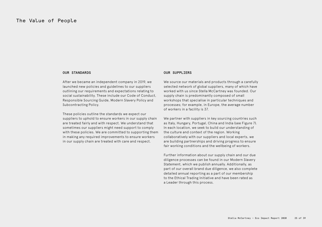#### OUR STANDARDS

After we became an independent company in 2019, we launched new policies and guidelines to our suppliers outlining our requirements and expectations relating to social sustainability. These include our Code of Conduct, Responsible Sourcing Guide, Modern Slavery Policy and Subcontracting Policy.

These policies outline the standards we expect our suppliers to uphold to ensure workers in our supply chain are treated fairly and with respect. We understand that sometimes our suppliers might need support to comply with these policies. We are committed to supporting them in making any required improvements to ensure workers in our supply chain are treated with care and respect.

#### OUR SUPPLIFRS

We source our materials and products through a carefully selected network of global suppliers, many of which have worked with us since Stella McCartney was founded. Our supply chain is predominantly composed of small workshops that specialise in particular techniques and processes; for example, in Europe, the average number of workers in a facility is 37.

We partner with suppliers in key sourcing countries such as Italy, Hungary, Portugal, China and India (see Figure 7). In each location, we seek to build our understanding of the culture and context of the region. Working collaboratively with our suppliers and local experts, we are building partnerships and driving progress to ensure fair working conditions and the wellbeing of workers.

Further information about our supply chain and our due diligence processes can be found in our Modern Slavery Statement, which we publish annually. Additionally, as part of our overall brand due diligence, we also complete detailed annual reporting as a part of our membership to the Ethical Trading Initiative and have been rated as a Leader through this process.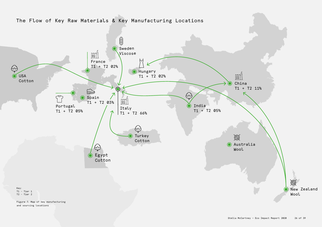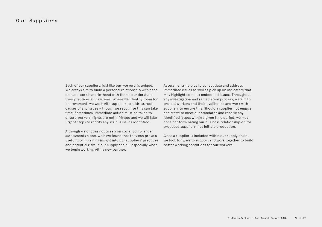#### Our Suppliers

Each of our suppliers, just like our workers, is unique. We always aim to build a personal relationship with each one and work hand-in-hand with them to understand their practices and systems. Where we identify room for improvement, we work with suppliers to address root causes of any issues – though we recognise this can take time. Sometimes, immediate action must be taken to ensure workers' rights are not infringed and we will take urgent steps to rectify any serious issues identified.

Although we choose not to rely on social compliance assessments alone, we have found that they can prove a useful tool in gaining insight into our suppliers' practices and potential risks in our supply chain – especially when we begin working with a new partner.

Assessments help us to collect data and address immediate issues as well as pick up on indicators that may highlight complex embedded issues. Throughout any investigation and remediation process, we aim to protect workers and their livelihoods and work with suppliers to ensure this. Should a supplier not engage and strive to meet our standards and resolve any identified issues within a given time period, we may consider terminating our business relationship or, for proposed suppliers, not initiate production.

Once a supplier is included within our supply chain, we look for ways to support and work together to build better working conditions for our workers.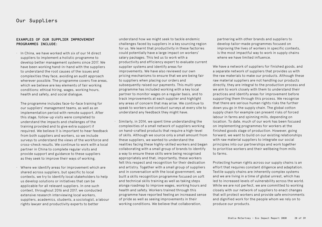#### EXAMPLES OF OUR SUPPLIER IMPROVEMENT PROGRAMMES TNCLUDE:

∙ In China, we have worked with six of our 14 direct suppliers to implement a holistic programme to develop better management systems since 2017. We have been working hand-in-hand with the suppliers to understand the root causes of the issues and complexities they face, avoiding an audit approach wherever possible. The programme covers five areas, which we believe are key elements of fair working conditions: ethical hiring, wages, working hours, health and safety, and social dialogue.

 The programme includes face-to-face training for our suppliers' management teams, as well as an implementation period with remote support. After this stage, follow-up visits were completed to understand the impacts and challenges of the training provided and to give extra support if required. We believe it is important to hear feedback from both suppliers and workers, so we include surveys to understand the views of the workforce and cross-check results. We continue to work with a local partner in China to complete regular visits and provide support and guidance to these suppliers as they seek to improve their ways of working.

∙ Where we identify areas for improvement which are shared across suppliers, but specific to local contexts, we try to identify local stakeholders to help us develop solutions or initiatives that can be applicable for all relevant suppliers. In one such context, throughout 2016 and 2017, we conducted extensive research interviewing local workers, suppliers, academics, students, a sociologist, a labour rights lawyer and productivity experts to better

understand how we might seek to tackle endemic challenges faced by suppliers in a key sourcing region for us. We learnt that productivity in these factories could potentially have a large impact on workers' salary packages. This led us to work with a productivity and efficiency expert to evaluate current supplier systems and identify areas for improvements. We have also reviewed our own pricing mechanisms to ensure that we are being fair to suppliers when placing our orders and subsequently raised our payments. This multi-year programme has included working with a key local partner to monitor wages on a regular basis, and to track improvements at each supplier and highlight any areas of concern that may arise. We continue to speak to workers and conduct surveys at every site to understand any feedback they might have.

∙ Similarly, in 2014, we spent time understanding the complexities of a small network of suppliers working on hand-crafted products that require a high-level of skills. Although we source only a small amount from these suppliers, we wanted to understand the realities facing these highly-skilled workers and began collaborating with a small group of brands to identify a way to ensure these skills were being recognised appropriately and that, importantly, these workers felt this respect and recognition for their dedication and artistry. Together with a small group of suppliers and in conversation with the local government, we built a skills recognition programme focused on soft and technical skills training as well as taking steps alonga roadmap to improve wages, working hours and health and safety. Workers trained through this programme have reported feeling an increased sense of pride as well as seeing improvements in their working conditions. We believe that collaboration,

partnering with other brands and suppliers to develop tailor-made programmes focused on improving the lives of workers in specific contexts, is the most impactful way to work in supply chains where we have limited influence.

We have a network of suppliers for finished goods, and a separate network of suppliers that provides us with the raw materials to make our products. Although these raw material suppliers are not handling our products directly, they are integral to the production process and we aim to work closely with them to understand their practices and identify areas for improvement before supporting them through this process. We recognise that there are serious human rights risks the further down you go in the supply chain. The global cotton supply chain for example can present risks of forced labour in farms and spinning mills, depending on location. To date, much of our work has been focused on implementing programmes for workers at the finished goods stage of production. However, going forward, we want to build on our existing relationships with raw material suppliers to integrate our social principles into our partnerships and work together to prioritise workers and their wellbeing from mills to farms.

Protecting human rights across our supply chains is an effort that requires constant diligence and adaptation. Textile supply chains are inherently complex systems and we are living in a time of global unrest, which has led to increased levels of vulnerability across the world. While we are not perfect, we are committed to working closely with our network of suppliers to enact changes that will protect workers and provide safe environments and dignified work for the people whom we rely on to produce our products.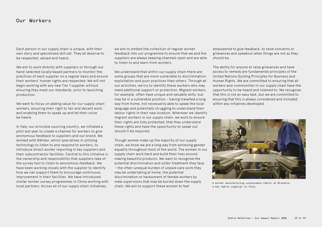Each person in our supply chain is unique, with their own story and specialised skill set. They all deserve to be respected, valued and heard.

We aim to work directly with suppliers or through our hand-selected locally based partners to monitor the practices of each supplier on a regular basis and ensure their workers' human rights are respected. We will not begin working with any new Tier 1 supplier without ensuring they meet our standards, prior to launching production.

We want to focus on adding value for our supply chain workers, ensuring their right to fair and decent work, and enabling them to speak up and let their voice be heard.

In Italy, our principle sourcing country, we initiated a pilot last year to create a channel for workers to give anonymous feedback to suppliers and our brand. We worked with &Wider, which specialises in utilising technology to listen to and respond to workers, to introduce direct worker reporting in key suppliers and their subcontractor facilities. Central to this initiative is the ownership and responsibility that suppliers take of the survey tool to listen to anonymous feedback. We have been working closely with the supplier to identify how we can support them to encourage continuous improvement in their facilities. We have introduced similar worker survey programmes in China working with local partners. Across all of our supply chain initiatives,

we aim to embed the collection of regular worker feedback into our programme to ensure that we and the suppliers are always keeping channels open and are able to listen to and learn from workers.

We understand that within our supply chain there are some groups that are more vulnerable to discrimination, exploitation and poor practices than others. Through all our activities, we try to identify these workers who may need additional support or protection. Migrant workers, for example, often have unique and valuable skills, but may be in a vulnerable position – having travelled a long way from home, not necessarily able to speak the local language and potentially struggling to understand their labour rights in their new location. Wherever we identify migrant workers in our supply chain, we work to ensure their rights are fully protected, that they understand these rights and have the opportunity to speak out should it be required.

Though women make up the majority of our supply chain, we know we are a long way from achieving gender equality throughout most of the world. The women in our supply chain work hard and build their lives around making beautiful products. We want to recognise the potential discrimination and unfair treatment they face – the often-unequal burden of unpaid care work they may be undertaking at home, the potential discrimination or harassment of female workers by male supervisors that may be buried down the supply chain. We aim to support these women to feel

empowered to give feedback, to raise concerns or grievances and speakout when things are not as they should be.

The ability for anyone to raise grievances and have access to remedy are fundamental principles of the United Nations Guiding Principles for Business and Human Rights. We are committed to ensuring that all workers and communities in our supply chain have the opportunity to be heard and listened to. We recognise that this is not an easy task, but we are committed to ensuring that this is always considered and included within any initiatives developed.



A worker manufacturing sustainable fabric at Brunello, a key fabric supplier in Italy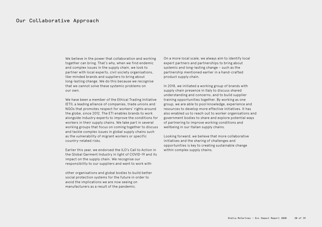We believe in the power that collaboration and working together can bring. That's why, when we find endemic and complex issues in the supply chain, we look to partner with local experts, civil society organisations, like-minded brands and suppliers to bring about long-lasting change. We do this because we recognise that we cannot solve these systemic problems on our own.

We have been a member of the Ethical Trading Initiative (ETI), a leading alliance of companies, trade unions and NGOs that promotes respect for workers' rights around the globe, since 2012. The ETI enables brands to work alongside industry experts to improve the conditions for workers in their supply chains. We take part in several working groups that focus on coming together to discuss and tackle complex issues in global supply chains such as the vulnerability of migrant workers or specific country-related risks.

Earlier this year, we endorsed the ILO's Call to Action in the Global Garment Industry in light of COVID-19 and its impact on the supply chain. We recognise our responsibility to our suppliers and want to work with

other organisations and global bodies to build better social protection systems for the future in order to avoid the implications we are now seeing on manufacturers as a result of the pandemic.

On a more local scale, we always aim to identify local expert partners and partnerships to bring about systemic and long-lasting change – such as the partnership mentioned earlier in a hand-crafted product supply chain.

In 2018, we initiated a working group of brands with supply chain presence in Italy to discuss shared understanding and concerns, and to build supplier training opportunities together. By working as one group, we are able to pool knowledge, experience and resources to develop more effective initiatives. It has also enabled us to reach out to worker organisations and government bodies to share and explore potential ways of partnering to improve working conditions and wellbeing in our Italian supply chains.

Looking forward, we believe that more collaborative initiatives and the sharing of challenges and opportunities is key to creating sustainable change within complex supply chains.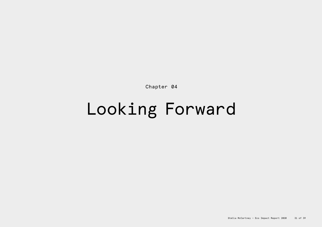Chapter 04

# Looking Forward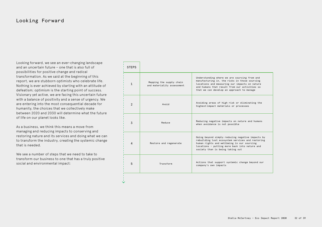### Looking Forward

Looking forward, we see an ever-changing landscape and an uncertain future – one that is also full of possibilities for positive change and radical transformation. As we said at the beginning of this report, we are stubborn optimists who celebrate life. Nothing is ever achieved by starting with an attitude of defeatism; optimism is the starting point of success. Visionary yet active, we are facing this uncertain future with a balance of positivity and a sense of urgency. We are entering into the most consequential decade for humanity, the choices that we collectively make between 2020 and 2030 will determine what the future of life on our planet looks like.

As a business, we think this means a move from managing and reducing impacts to conserving and restoring nature and its services and doing what we can to transform the industry, creating the systemic change that is needed.

We see a number of steps that we need to take to transform our business to one that has a truly positive social and environmental impact:

ŵ

| <b>STEPS</b>   |                                                        |                                                                                                                                                                                                                                              |
|----------------|--------------------------------------------------------|----------------------------------------------------------------------------------------------------------------------------------------------------------------------------------------------------------------------------------------------|
| $\mathbf{1}$   | Mapping the supply chain<br>and materiality assessment | Understanding where we are sourcing from and<br>manufacturing in, the risks in those sourcing<br>locations and measuring our impacts on nature<br>and humans that result from our activities so<br>that we can develop an approach to manage |
| $\mathfrak{p}$ | Avoid                                                  | Avoiding areas of high risk or eliminating the<br>highest-impact materials or processes                                                                                                                                                      |
| 3              | Reduce                                                 | Reducing negative impacts on nature and humans<br>when avoidance is not possible                                                                                                                                                             |
| 4              | Restore and regenerate                                 | Going beyond simply reducing negative impacts by<br>rebuilding lost ecosystem services and restoring<br>human rights and wellbeing in our sourcing<br>locations - putting more back into nature and<br>society than is being taking out      |
| 5              | Transform                                              | Actions that support systemic change beyond our<br>company's own impacts                                                                                                                                                                     |
|                |                                                        |                                                                                                                                                                                                                                              |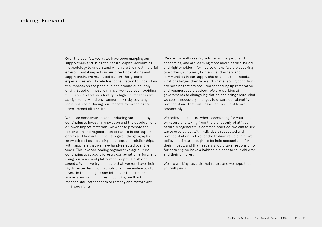#### Looking Forward

Over the past few years, we have been mapping our supply chain and using the natural capital accounting methodology to understand which are the most material environmental impacts in our direct operations and supply chain. We have used our on-the-ground experiences and stakeholder consultation to understand the impacts on the people in and around our supply chain. Based on those learnings, we have been avoiding the materials that we identify as highest-impact as well as high socially and environmentally risky sourcing locations and reducing our impacts by switching to lower-impact alternatives.

While we endeavour to keep reducing our impact by continuing to invest in innovation and the development of lower-impact materials, we want to promote the restoration and regeneration of nature in our supply chains and beyond – especially given the geographic knowledge of our sourcing locations and relationships with suppliers that we have hand-selected over the years. This involves scaling regenerative agriculture, continuing to support forestry conservation efforts and using our voice and platform to keep this high on the agenda. While we try to ensure that workers have their rights respected in our supply chain, we endeavour to invest in technologies and initiatives that support workers and communities in building feedback mechanisms, offer access to remedy and restore any infringed rights.

We are currently seeking advice from experts and academics, and are learning more about nature-based and rights-holder informed solutions. We are speaking to workers, suppliers, farmers, landowners and communities in our supply chains about their needs, what challenges they face and what enabling conditions are missing that are required for scaling up restorative and regenerative practices. We are working with governments to change legislation and bring about what we see as necessary changes to ensure our planet is protected and that businesses are required to act responsibly.

We believe in a future where accounting for your impact on nature and taking from the planet only what it can naturally regenerate is common practice. We aim to see waste eradicated, with individuals respected and protected at every level of the fashion value chain. We believe businesses ought to be held accountable for their impact, and that leaders should take responsibility for ensuring we leave a habitable planet for our children and their children.

We are working towards that future and we hope that you will join us.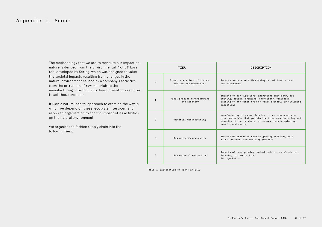#### Appendix I. Scope

The methodology that we use to measure our impact on nature is derived from the Environmental Profit & Loss tool developed by Kering, which was designed to value the societal impacts resulting from changes in the natural environment caused by a company's activities, from the extraction of raw materials to the manufacturing of products to direct operations required to sell those products.

It uses a natural capital approach to examine the way in which we depend on these 'ecosystem services' and allows an organisation to see the impact of its activities on the natural environment.

We organise the fashion supply chain into the following Tiers:

|                | TIER                                                   | DESCRIPTION                                                                                                                                                                                      |
|----------------|--------------------------------------------------------|--------------------------------------------------------------------------------------------------------------------------------------------------------------------------------------------------|
| Ø              | Direct operations of stores,<br>offices and warehouses | Impacts associated with running our offices, stores<br>and warehouses                                                                                                                            |
| 1              | Final product manufacturing<br>and assembly            | Impacts of our suppliers' operations that carry out<br>cutting, sewing, printing, embroidery, finishing,<br>packing or any other type of final assembly or finishing<br>operations               |
| $\mathfrak{p}$ | Material manufacturing                                 | Manufacturing of yarns, fabrics, trims, components or<br>other materials that go into the final manufacturing and<br>assembly of our products; processes include spinning,<br>weaving and dyeing |
| 3              | Raw material processing                                | Impacts of processes such as ginning (cotton), pulp<br>mills (viscose) and smelting (metals)                                                                                                     |
| 4              | Raw material extraction                                | Impacts of crop growing, animal raising, metal mining,<br>forestry, oil extraction<br>for synthetics                                                                                             |

Table 7. Explanation of Tiers in EP&L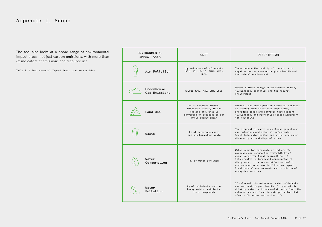## Appendix I. Scope

The tool also looks at a broad range of environmental impact areas, not just carbon emissions, with more than 62 indicators of emissions and resource use:

Table 8. 6 Environmental Impact Areas that we consider

| ENVIRONMENTAL<br>IMPACT AREA | <b>UNTT</b>                                                                                                                      | DESCRIPTION                                                                                                                                                                                                                                                                                                                           |
|------------------------------|----------------------------------------------------------------------------------------------------------------------------------|---------------------------------------------------------------------------------------------------------------------------------------------------------------------------------------------------------------------------------------------------------------------------------------------------------------------------------------|
| Air Pollution                | kg emissions of pollutants<br>(NOx, SOx, PM2.5, PM10, VOCs,<br><b>NH3</b> )                                                      | These reduce the quality of the air, with<br>negative consequence on people's health and<br>the natural environment                                                                                                                                                                                                                   |
| Greenhouse<br>Gas Emissions  | kgCO2e (CO2, N2O, CH4, CFCs)                                                                                                     | Drives climate change which affects health,<br>livelihoods, economies and the natural<br>environment                                                                                                                                                                                                                                  |
| Land Use                     | ha of tropical forest,<br>temperate forest, inland<br>wetland etc. that is<br>converted or occupied in our<br>whole supply chain | Natural land areas provide essential services<br>to society such as climate regulation,<br>providing goods and services that support<br>livelihoods, and recreation spaces important<br>for wellbeing                                                                                                                                 |
| Waste                        | kg of hazardous waste<br>and non-hazardous waste                                                                                 | The disposal of waste can release greenhouse<br>gas emissions and other air pollutants,<br>leach into water bodies and soils, and cause<br>disamenity around disposal sites                                                                                                                                                           |
| Water<br>Consumption         | m3 of water consumed                                                                                                             | Water used for corporate or industrial<br>purposes can reduce the availability of<br>clean water for local communities: if<br>this results in increased consumption of<br>dirty water, this has an effect on health<br>and reduced water availability can impact<br>local natural environments and provision of<br>ecosystem services |
| Water<br>Pollution           | kg of pollutants such as<br>heavy metals, nutrients,<br>toxic compounds                                                          | If released into waterways, water pollutants<br>can seriously impact health if ingested via<br>drinking water or bioaccumulation in food; the<br>release can also lead to eutrophication that<br>affects fisheries and marine life                                                                                                    |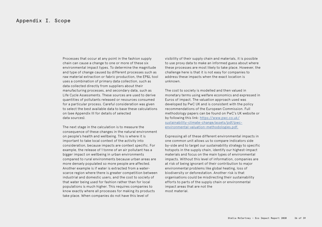#### Appendix I. Scope

Processes that occur at any point in the fashion supply chain can cause a change to one or more of these six environmental impact types. To determine the magnitude and type of change caused by different processes such as raw material extraction or fabric production, the EP&L tool uses a combination of primary data collection, such as data collected directly from suppliers about their manufacturing processes, and secondary data, such as Life Cycle Assessments. These sources are used to derive quantities of pollutants released or resources consumed for a particular process. Careful consideration was given to select the best available data to base these calculations on (see Appendix III for details of selected data sources).

The next stage in the calculation is to measure the consequence of these changes in the natural environment on people's health and wellbeing. This is where it is important to take local context of the activity into consideration, because impacts are context specific. For example, the release of 1 tonne of an air pollutant has a bigger impact on wellbeing in urban environments compared to rural environments because urban areas are more densely populated so more people are affected. Another example is if water is extracted from a waterscarce region where there is greater competition between industrial and domestic users, and the cost to society of that water being used for fashion rather than for local populations is much higher. This requires companies to know exactly where all processes for making its products take place. When companies do not have this level of

visibility of their supply chain and materials, it is possible to use proxy data to make an informed guess about where these processes are most likely to take place. However, the challenge here is that it is not easy for companies to address these impacts when the exact location is unknown.

The cost to society is modelled and then valued in monetary terms using welfare economics and expressed in Euros of impact. The valuation approach used was developed by PwC UK and is consistent with the policy recommendations of the European Commission. Full methodology papers can be found on PwC's UK website or by following this link: https://www.pwc.co.uk/ sustainability-climate-change/assets/pdf/pwcenvironmental-valuation-methodologies.pdf.

Expressing all of these different environmental impacts in one common unit allows us to compare indicators side by-side and to target our sustainability strategy to specific hotspots in the supply chain, identify our highest-impact materials and focus on the main types of environmental impacts. Without this level of information, companies are at risk of being ignorant of their contribution to major environmental problems like global heating, loss of biodiversity or deforestation. Another risk is that organisations could be misdirecting their sustainability efforts to parts of the supply chain or environmental impact areas that are not the most material.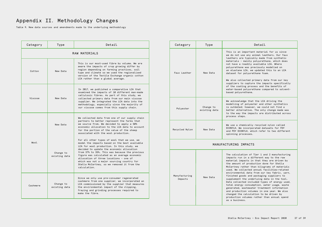## Appendix II. Methodology Changes

Table 9. New data sources and amendments made to the underlying methodology

| Category      | Type                       | Detail                                                                                                                                                                                                                                                                                                                                                                                                                                           |  |  |  |  |
|---------------|----------------------------|--------------------------------------------------------------------------------------------------------------------------------------------------------------------------------------------------------------------------------------------------------------------------------------------------------------------------------------------------------------------------------------------------------------------------------------------------|--|--|--|--|
| RAW MATERIALS |                            |                                                                                                                                                                                                                                                                                                                                                                                                                                                  |  |  |  |  |
| Cotton        | New Data                   | This is our most-used fibre by volume. We are<br>aware the impacts of crop growing differ by<br>region depending on farming practices, soil<br>type and climate so we used the regionalised<br>version of the Textile Exchange organic cotton<br>LCA rather than a global average.                                                                                                                                                               |  |  |  |  |
| Viscose       | New Data                   | In 2017, we published a comparative LCA that<br>examined the impacts of 10 different man-made<br>cellulosic fibres. As part of this study, we<br>collected primary data from our main viscose<br>supplier. We integrated the LCA data into the<br>methodology, especially since the majority of<br>our viscose comes from this supply chain.                                                                                                     |  |  |  |  |
| Wool.         | New Data                   | We collected data from one of our supply chain<br>partners to better represent the farms that<br>we source from. We decided to apply a 50%<br>economic allocation to the LCA data to account<br>for the portion of the value of the sheep<br>associated with the wool production.                                                                                                                                                                |  |  |  |  |
|               | Change to<br>existing data | For all other types of wool that we use, we<br>model the impacts based on the best available<br>LCA for wool production. In this study, we<br>decided to update the economic allocation<br>from 37% to 35%. This was because the previous<br>figure was calculated as an average economic<br>allocation of three locations - one of<br>which was not a major sourcing country for<br>Stella McCartney, so we removed it from the<br>calculation. |  |  |  |  |
| Cashmere      | Change to<br>existing data | Since we only use pre-consumer regenerated<br>cashmere from one supplier, we incorporated an<br>LCA commissioned by the supplier that measures<br>the environmental impact of the clipping,<br>fraying and grinding processes required to<br>make the fibre.                                                                                                                                                                                     |  |  |  |  |

| Category                 | Type                       | Detail                                                                                                                                                                                                                                                                                                                                                                                                                                                                                                                                                                                                                                                                                                                                        |  |  |  |
|--------------------------|----------------------------|-----------------------------------------------------------------------------------------------------------------------------------------------------------------------------------------------------------------------------------------------------------------------------------------------------------------------------------------------------------------------------------------------------------------------------------------------------------------------------------------------------------------------------------------------------------------------------------------------------------------------------------------------------------------------------------------------------------------------------------------------|--|--|--|
| Faux Leather             | New Data                   | This is an important material for us since<br>we do not use any animal leathers. Our faux<br>leathers are typically made from synthetic<br>materials - mainly polyurethane, which does<br>not have a readily available LCA. Where<br>polyurethane was previously modelled on<br>an elastane LCA, we updated this to an LCA<br>dataset for polyurethane foam.<br>We also collected primary data from our key<br>suppliers to capture the impacts specifically<br>of the coating process and the benefits of<br>water-based polyurethane compared to solvent-<br>based polyurethane.                                                                                                                                                            |  |  |  |
| Polyester                | Change to<br>existing data | We acknowledge that the LCA driving the<br>modelling of polyester and other synthetics<br>is outdated; however, we could not find a<br>better alternative. The only change made was<br>to the way the impacts are distributed across<br>process steps.                                                                                                                                                                                                                                                                                                                                                                                                                                                                                        |  |  |  |
| Recycled Nylon           | New Data                   | We use a chemically recycled nylon called<br>ECONYL®. We incorporated datasets for FDY<br>and POY ECONYL®, which refer to two different<br>spinning processes.                                                                                                                                                                                                                                                                                                                                                                                                                                                                                                                                                                                |  |  |  |
| MANUFACTURING IMPACTS    |                            |                                                                                                                                                                                                                                                                                                                                                                                                                                                                                                                                                                                                                                                                                                                                               |  |  |  |
| Manufacturing<br>Impacts | New Data                   | The calculation of Tier 1 and 2 manufacturing<br>impacts run in a different way to the raw<br>material impacts in that they are driven by<br>the amount of production done for Stella<br>McCartney rather than kilograms of materials<br>used. We collected annual facilities-related<br>environmental data from our key fabric, yarn,<br>finished goods and packaging suppliers to<br>supplement the underlying data in the tool.<br>Data collected included types of energy used,<br>total energy consumption, water usage, waste<br>generated, wastewater treatment information<br>and production volumes in one year. We also<br>changed the calculation to be driven by<br>production volumes rather than annual spend<br>as a business. |  |  |  |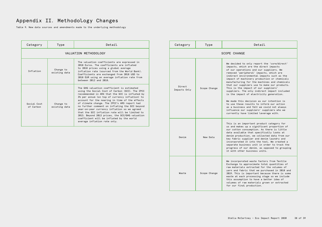## Appendix II. Methodology Changes

Table 9. New data sources and amendments made to the underlying methodology

| Category                 | Type                       | Detail                                                                                                                                                                                                                                                                                                                                                                                                                                                                                                                                                                                  |  |  |  |  |
|--------------------------|----------------------------|-----------------------------------------------------------------------------------------------------------------------------------------------------------------------------------------------------------------------------------------------------------------------------------------------------------------------------------------------------------------------------------------------------------------------------------------------------------------------------------------------------------------------------------------------------------------------------------------|--|--|--|--|
| VALUATION METHODOLOGY    |                            |                                                                                                                                                                                                                                                                                                                                                                                                                                                                                                                                                                                         |  |  |  |  |
| Inflation                | Change to<br>existing data | The valuation coefficients are expressed in<br>2018 Euros. The coefficients are inflated<br>to 2018 prices using a global average<br>inflation rate (sourced from the World Bank).<br>Coefficients are exchanged from 2018 USD to<br>2018 EUR using an average inflation rate from<br>between 2012 and 2018.                                                                                                                                                                                                                                                                            |  |  |  |  |
| Social Cost<br>of Carbon | Change to<br>existing data | The GHG valuation coefficient is estimated<br>using the Social Cost of Carbon (SCC). The IPCC<br>recommended in AR4 that the SCC is inflated by<br>3% per annum (on top of currency inflation) to<br>account for the nearing in time of the effects<br>of climate change. The IPCC's AR5 report had<br>no further comment on inflating the SCC beyond<br>year-on-year currency inflation so we agreed<br>that the SCC inflation rate will be limited to<br>2013. Beyond 2013 prices, the SCC/GHG valuation<br>coefficient will be inflated by the world<br>average inflation rate only. |  |  |  |  |

| Category               | Type         | Detail                                                                                                                                                                                                                                                                                                                                                                                                                                                                                                                                                                                                                                                                                                                                    |  |  |  |
|------------------------|--------------|-------------------------------------------------------------------------------------------------------------------------------------------------------------------------------------------------------------------------------------------------------------------------------------------------------------------------------------------------------------------------------------------------------------------------------------------------------------------------------------------------------------------------------------------------------------------------------------------------------------------------------------------------------------------------------------------------------------------------------------------|--|--|--|
| SCOPE CHANGE           |              |                                                                                                                                                                                                                                                                                                                                                                                                                                                                                                                                                                                                                                                                                                                                           |  |  |  |
| Direct<br>Impacts Only | Scope Change | We decided to only report the 'core/direct'<br>impacts, which are the direct impacts<br>of our operations and our suppliers. We<br>removed 'peripheral' impacts, which are<br>indirect environmental impacts such as the<br>impact of machinery production or chemicals<br>manufacturing for the machines and chemicals<br>that our suppliers use to make our products.<br>This is the impact of our suppliers'<br>suppliers. The only indirect impact included<br>is the impact of electricity generation.<br>We made this decision as our intention is<br>to use these results to inform our action<br>as a business and felt we could not always<br>influence our suppliers' suppliers who we<br>currently have limited leverage with. |  |  |  |
| Denim                  | New Data     | This is an important product category for<br>us and makes up a significant proportion of<br>our cotton consumption. As there is little<br>data available that specifically looks at<br>denim production, we collected data from our<br>key fabric supplier and denim laundry and<br>incorporated it into the tool. We created a<br>separate business unit in order to track the<br>progress of our denim, as opposed to grouping<br>it with other business units.                                                                                                                                                                                                                                                                         |  |  |  |
| Waste                  | Scope Change | We incorporated waste factors from Textile<br>Exchange to approximate total quantities of<br>raw materials extracted for the volumes of<br>yarn and fabric that we purchased in 2018 and<br>2019. This is important because there is some<br>waste at each processing stage so we include<br>this assumption to have a better idea of<br>volumes of raw materials grown or extracted<br>for our final production.                                                                                                                                                                                                                                                                                                                         |  |  |  |